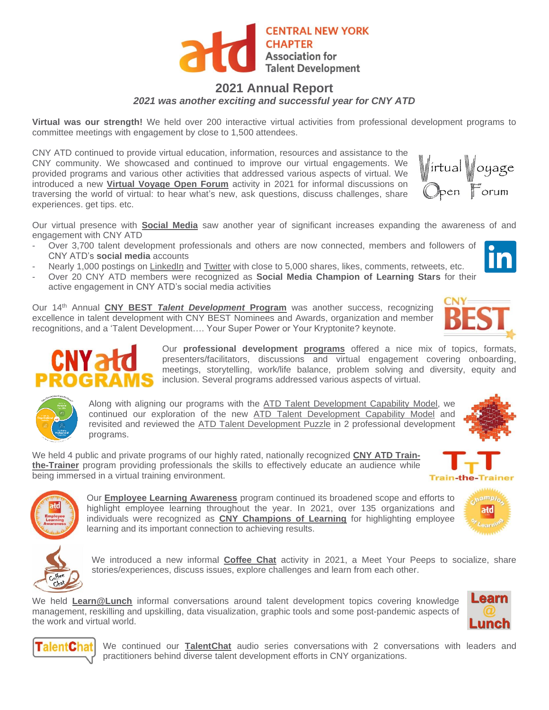

## **2021 Annual Report**

*2021 was another exciting and successful year for CNY ATD*

**Virtual was our strength!** We held over 200 interactive virtual activities from professional development programs to committee meetings with engagement by close to 1,500 attendees.

CNY ATD continued to provide virtual education, information, resources and assistance to the CNY community. We showcased and continued to improve our virtual engagements. We provided programs and various other activities that addressed various aspects of virtual. We introduced a new **[Virtual Voyage Open Forum](https://cnyatd.org/virtual_forum)** activity in 2021 for informal discussions on traversing the world of virtual: to hear what's new, ask questions, discuss challenges, share experiences. get tips. etc.

Our virtual presence with **[Social Media](https://cnyatd.org/social_media)** saw another year of significant increases expanding the awareness of and engagement with CNY ATD

- Over 3,700 talent development professionals and others are now connected, members and followers of CNY ATD's **social media** accounts
- Nearly 1,000 postings on [LinkedIn](https://www.linkedin.com/in/cny-atd/) and [Twitter](https://twitter.com/CNYATD) with close to 5,000 shares, likes, comments, retweets, etc.
- Over 20 CNY ATD members were recognized as **Social Media Champion of Learning Stars** for their active engagement in CNY ATD's social media activities

Our 14th Annual **CNY BEST** *[Talent Development](https://cnyatd.org/cny_best)* **Program** was another success, recognizing excellence in talent development with CNY BEST Nominees and Awards, organization and member recognitions, and a 'Talent Development…. Your Super Power or Your Kryptonite? keynote.

> Our **professional development [programs](https://cnyatd.org/programs)** offered a nice mix of topics, formats, presenters/facilitators, discussions and virtual engagement covering onboarding, meetings, storytelling, work/life balance, problem solving and diversity, equity and inclusion. Several programs addressed various aspects of virtual.

Along with aligning our programs with the [ATD Talent Development Capability](https://cnyatd.org/td_capability_model) Model, we continued our exploration of the new [ATD Talent Development Capability](https://cnyatd.org/td_capability_model) Model and revisited and reviewed the [ATD Talent Development Puzzle](https://cnyatd.org/talent_development) in 2 professional development programs.

We held 4 public and private programs of our highly rated, nationally recognized **[CNY ATD Train](https://cnyatd.org/ttt)[the-Trainer](https://cnyatd.org/ttt)** program providing professionals the skills to effectively educate an audience while being immersed in a virtual training environment.



Our **[Employee Learning Awareness](https://cnyatd.org/ela)** program continued its broadened scope and efforts to highlight employee learning throughout the year. In 2021, over 135 organizations and individuals were recognized as **[CNY Champions of Learning](https://cnyatd.org/2019_employee_learning)** for highlighting employee learning and its important connection to achieving results.

We introduced a new informal **[Coffee Chat](https://cnyatd.org/coffee_chat)** activity in 2021, a Meet Your Peeps to socialize, share stories/experiences, discuss issues, explore challenges and learn from each other.

We held **[Learn@Lunch](https://cnyatd.org/learn_lunch)** informal conversations around talent development topics covering knowledge management, reskilling and upskilling, data visualization, graphic tools and some post-pandemic aspects of the work and virtual world.





We continued our **[TalentChat](https://cnyatd.org/talentchat)** audio series conversations with 2 conversations with leaders and practitioners behind diverse talent development efforts in CNY organizations.